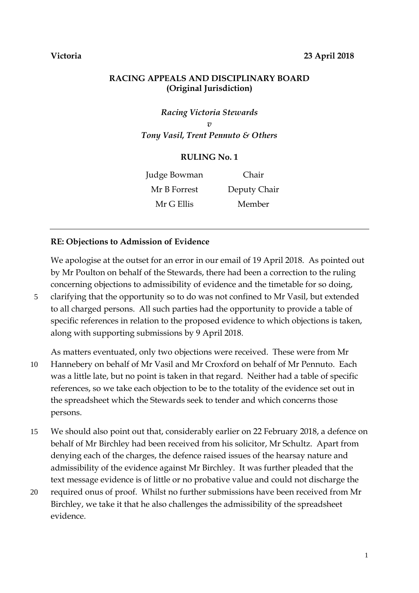# **Victoria 23 April 2018**

## **RACING APPEALS AND DISCIPLINARY BOARD (Original Jurisdiction)**

*Racing Victoria Stewards v Tony Vasil, Trent Pennuto & Others*

### **RULING No. 1**

Judge Bowman Chair Mr B Forrest Deputy Chair Mr G Ellis Member

## **RE: Objections to Admission of Evidence**

We apologise at the outset for an error in our email of 19 April 2018. As pointed out by Mr Poulton on behalf of the Stewards, there had been a correction to the ruling concerning objections to admissibility of evidence and the timetable for so doing,

5 clarifying that the opportunity so to do was not confined to Mr Vasil, but extended to all charged persons. All such parties had the opportunity to provide a table of specific references in relation to the proposed evidence to which objections is taken, along with supporting submissions by 9 April 2018.

As matters eventuated, only two objections were received. These were from Mr 10 Hannebery on behalf of Mr Vasil and Mr Croxford on behalf of Mr Pennuto. Each was a little late, but no point is taken in that regard. Neither had a table of specific references, so we take each objection to be to the totality of the evidence set out in the spreadsheet which the Stewards seek to tender and which concerns those persons.

- 15 We should also point out that, considerably earlier on 22 February 2018, a defence on behalf of Mr Birchley had been received from his solicitor, Mr Schultz. Apart from denying each of the charges, the defence raised issues of the hearsay nature and admissibility of the evidence against Mr Birchley. It was further pleaded that the text message evidence is of little or no probative value and could not discharge the
- 20 required onus of proof. Whilst no further submissions have been received from Mr Birchley, we take it that he also challenges the admissibility of the spreadsheet evidence.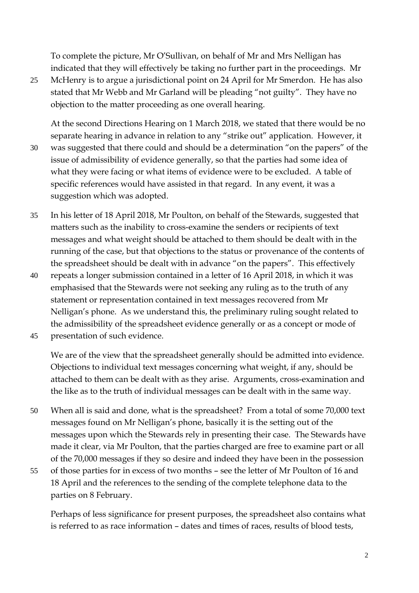To complete the picture, Mr O'Sullivan, on behalf of Mr and Mrs Nelligan has indicated that they will effectively be taking no further part in the proceedings. Mr

25 McHenry is to argue a jurisdictional point on 24 April for Mr Smerdon. He has also stated that Mr Webb and Mr Garland will be pleading "not guilty". They have no objection to the matter proceeding as one overall hearing.

At the second Directions Hearing on 1 March 2018, we stated that there would be no separate hearing in advance in relation to any "strike out" application. However, it 30 was suggested that there could and should be a determination "on the papers" of the issue of admissibility of evidence generally, so that the parties had some idea of what they were facing or what items of evidence were to be excluded. A table of specific references would have assisted in that regard. In any event, it was a suggestion which was adopted.

- 35 In his letter of 18 April 2018, Mr Poulton, on behalf of the Stewards, suggested that matters such as the inability to cross-examine the senders or recipients of text messages and what weight should be attached to them should be dealt with in the running of the case, but that objections to the status or provenance of the contents of the spreadsheet should be dealt with in advance "on the papers". This effectively
- 40 repeats a longer submission contained in a letter of 16 April 2018, in which it was emphasised that the Stewards were not seeking any ruling as to the truth of any statement or representation contained in text messages recovered from Mr Nelligan's phone. As we understand this, the preliminary ruling sought related to the admissibility of the spreadsheet evidence generally or as a concept or mode of

45 presentation of such evidence.

We are of the view that the spreadsheet generally should be admitted into evidence. Objections to individual text messages concerning what weight, if any, should be attached to them can be dealt with as they arise. Arguments, cross-examination and the like as to the truth of individual messages can be dealt with in the same way.

- 50 When all is said and done, what is the spreadsheet? From a total of some 70,000 text messages found on Mr Nelligan's phone, basically it is the setting out of the messages upon which the Stewards rely in presenting their case. The Stewards have made it clear, via Mr Poulton, that the parties charged are free to examine part or all of the 70,000 messages if they so desire and indeed they have been in the possession
- 55 of those parties for in excess of two months see the letter of Mr Poulton of 16 and 18 April and the references to the sending of the complete telephone data to the parties on 8 February.

Perhaps of less significance for present purposes, the spreadsheet also contains what is referred to as race information – dates and times of races, results of blood tests,